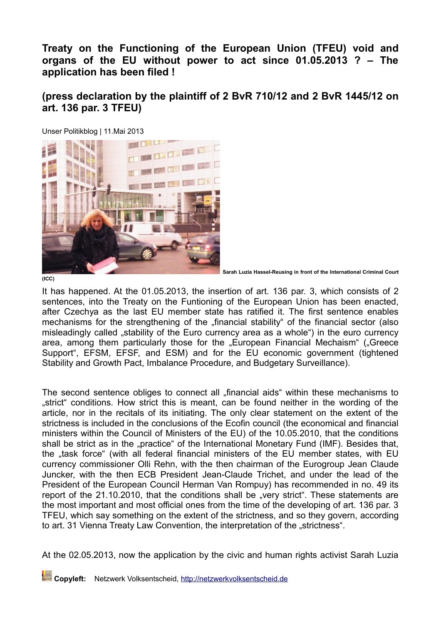**Treaty on the Functioning of the European Union (TFEU) void and organs of the EU without power to act since 01.05.2013 ? – The application has been filed !**

**(press declaration by the plaintiff of 2 BvR 710/12 and 2 BvR 1445/12 on art. 136 par. 3 TFEU)**



Unser Politikblog | 11.Mai 2013

**Sarah Luzia Hassel-Reusing in front of the International Criminal Court**

It has happened. At the 01.05.2013, the insertion of art. 136 par. 3, which consists of 2 sentences, into the Treaty on the Funtioning of the European Union has been enacted, after Czechya as the last EU member state has ratified it. The first sentence enables mechanisms for the strengthening of the "financial stability" of the financial sector (also misleadingly called "stability of the Euro currency area as a whole") in the euro currency area, among them particularly those for the "European Financial Mechaism" ("Greece Support", EFSM, EFSF, and ESM) and for the EU economic government (tightened Stability and Growth Pact, Imbalance Procedure, and Budgetary Surveillance).

The second sentence obliges to connect all "financial aids" within these mechanisms to "strict" conditions. How strict this is meant, can be found neither in the wording of the article, nor in the recitals of its initiating. The only clear statement on the extent of the strictness is included in the conclusions of the Ecofin council (the economical and financial ministers within the Council of Ministers of the EU) of the 10.05.2010, that the conditions shall be strict as in the "practice" of the International Monetary Fund (IMF). Besides that, the "task force" (with all federal financial ministers of the EU member states, with EU currency commissioner Olli Rehn, with the then chairman of the Eurogroup Jean Claude Juncker, with the then ECB President Jean-Claude Trichet, and under the lead of the President of the European Council Herman Van Rompuy) has recommended in no. 49 its report of the 21.10.2010, that the conditions shall be "very strict". These statements are the most important and most official ones from the time of the developing of art. 136 par. 3 TFEU, which say something on the extent of the strictness, and so they govern, according to art. 31 Vienna Treaty Law Convention, the interpretation of the "strictness".

At the 02.05.2013, now the application by the civic and human rights activist Sarah Luzia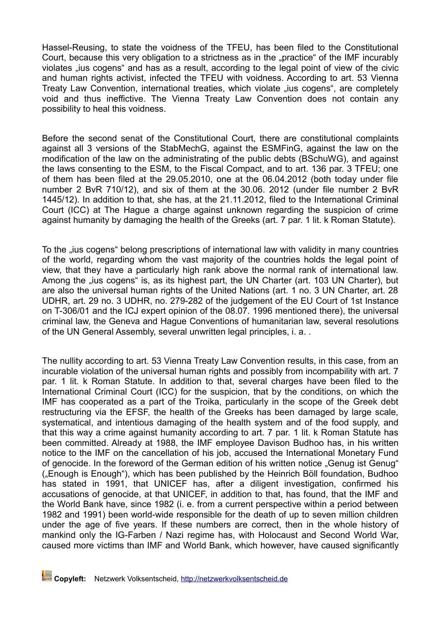Hassel-Reusing, to state the voidness of the TFEU, has been filed to the Constitutional Court, because this very obligation to a strictness as in the "practice" of the IMF incurably violates "ius cogens" and has as a result, according to the legal point of view of the civic and human rights activist, infected the TFEU with voidness. According to art. 53 Vienna Treaty Law Convention, international treaties, which violate "ius cogens", are completely void and thus ineffictive. The Vienna Treaty Law Convention does not contain any possibility to heal this voidness.

Before the second senat of the Constitutional Court, there are constitutional complaints against all 3 versions of the StabMechG, against the ESMFinG, against the law on the modification of the law on the administrating of the public debts (BSchuWG), and against the laws consenting to the ESM, to the Fiscal Compact, and to art. 136 par. 3 TFEU; one of them has been filed at the 29.05.2010, one at the 06.04.2012 (both today under file number 2 BvR 710/12), and six of them at the 30.06. 2012 (under file number 2 BvR 1445/12). In addition to that, she has, at the 21.11.2012, filed to the International Criminal Court (ICC) at The Hague a charge against unknown regarding the suspicion of crime against humanity by damaging the health of the Greeks (art. 7 par. 1 lit. k Roman Statute).

To the "ius cogens" belong prescriptions of international law with validity in many countries of the world, regarding whom the vast majority of the countries holds the legal point of view, that they have a particularly high rank above the normal rank of international law. Among the "ius cogens" is, as its highest part, the UN Charter (art. 103 UN Charter), but are also the universal human rights of the United Nations (art. 1 no. 3 UN Charter, art. 28 UDHR, art. 29 no. 3 UDHR, no. 279-282 of the judgement of the EU Court of 1st Instance on T-306/01 and the ICJ expert opinion of the 08.07. 1996 mentioned there), the universal criminal law, the Geneva and Hague Conventions of humanitarian law, several resolutions of the UN General Assembly, several unwritten legal principles, i. a. .

The nullity according to art. 53 Vienna Treaty Law Convention results, in this case, from an incurable violation of the universal human rights and possibly from incompability with art. 7 par. 1 lit. k Roman Statute. In addition to that, several charges have been filed to the International Criminal Court (ICC) for the suspicion, that by the conditions, on which the IMF has cooperated as a part of the Troika, particularly in the scope of the Greek debt restructuring via the EFSF, the health of the Greeks has been damaged by large scale, systematical, and intentious damaging of the health system and of the food supply, and that this way a crime against humanity according to art. 7 par. 1 lit. k Roman Statute has been committed. Already at 1988, the IMF employee Davison Budhoo has, in his written notice to the IMF on the cancellation of his job, accused the International Monetary Fund of genocide. In the foreword of the German edition of his written notice "Genug ist Genug" ("Enough is Enough"), which has been published by the Heinrich Böll foundation, Budhoo has stated in 1991, that UNICEF has, after a diligent investigation, confirmed his accusations of genocide, at that UNICEF, in addition to that, has found, that the IMF and the World Bank have, since 1982 (i. e. from a current perspective within a period between 1982 and 1991) been world-wide responsible for the death of up to seven million children under the age of five years. If these numbers are correct, then in the whole history of mankind only the IG-Farben / Nazi regime has, with Holocaust and Second World War, caused more victims than IMF and World Bank, which however, have caused significantly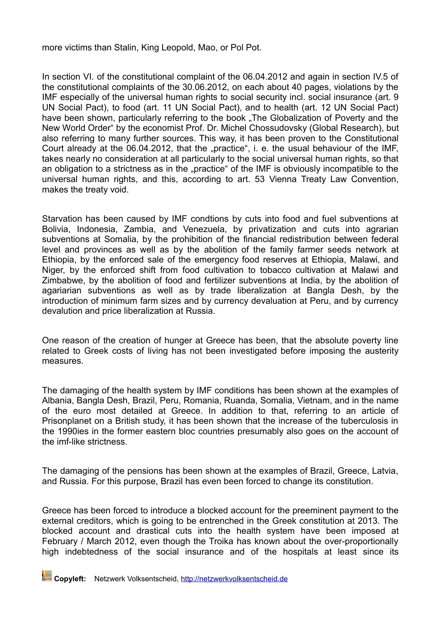more victims than Stalin, King Leopold, Mao, or Pol Pot.

In section VI. of the constitutional complaint of the 06.04.2012 and again in section IV.5 of the constitutional complaints of the 30.06.2012, on each about 40 pages, violations by the IMF especially of the universal human rights to social security incl. social insurance (art. 9 UN Social Pact), to food (art. 11 UN Social Pact), and to health (art. 12 UN Social Pact) have been shown, particularly referring to the book "The Globalization of Poverty and the New World Order" by the economist Prof. Dr. Michel Chossudovsky (Global Research), but also referring to many further sources. This way, it has been proven to the Constitutional Court already at the 06.04.2012, that the "practice", i. e. the usual behaviour of the IMF, takes nearly no consideration at all particularly to the social universal human rights, so that an obligation to a strictness as in the "practice" of the IMF is obviously incompatible to the universal human rights, and this, according to art. 53 Vienna Treaty Law Convention, makes the treaty void.

Starvation has been caused by IMF condtions by cuts into food and fuel subventions at Bolivia, Indonesia, Zambia, and Venezuela, by privatization and cuts into agrarian subventions at Somalia, by the prohibition of the financial redistribution between federal level and provinces as well as by the abolition of the family farmer seeds network at Ethiopia, by the enforced sale of the emergency food reserves at Ethiopia, Malawi, and Niger, by the enforced shift from food cultivation to tobacco cultivation at Malawi and Zimbabwe, by the abolition of food and fertilizer subventions at India, by the abolition of agariarian subventions as well as by trade liberalization at Bangla Desh, by the introduction of minimum farm sizes and by currency devaluation at Peru, and by currency devalution and price liberalization at Russia.

One reason of the creation of hunger at Greece has been, that the absolute poverty line related to Greek costs of living has not been investigated before imposing the austerity measures.

The damaging of the health system by IMF conditions has been shown at the examples of Albania, Bangla Desh, Brazil, Peru, Romania, Ruanda, Somalia, Vietnam, and in the name of the euro most detailed at Greece. In addition to that, referring to an article of Prisonplanet on a British study, it has been shown that the increase of the tuberculosis in the 1990ies in the former eastern bloc countries presumably also goes on the account of the imf-like strictness.

The damaging of the pensions has been shown at the examples of Brazil, Greece, Latvia, and Russia. For this purpose, Brazil has even been forced to change its constitution.

Greece has been forced to introduce a blocked account for the preeminent payment to the external creditors, which is going to be entrenched in the Greek constitution at 2013. The blocked account and drastical cuts into the health system have been imposed at February / March 2012, even though the Troika has known about the over-proportionally high indebtedness of the social insurance and of the hospitals at least since its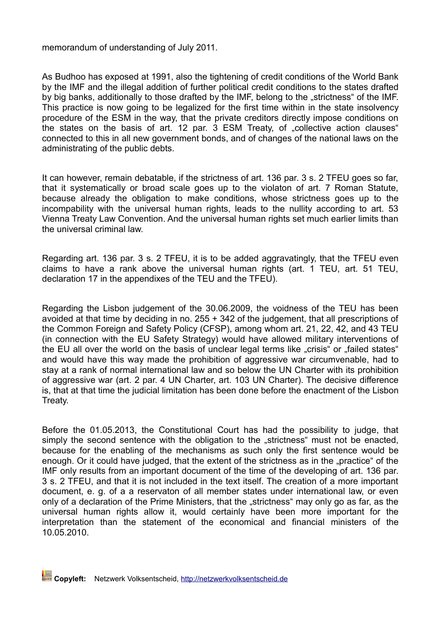memorandum of understanding of July 2011.

As Budhoo has exposed at 1991, also the tightening of credit conditions of the World Bank by the IMF and the illegal addition of further political credit conditions to the states drafted by big banks, additionally to those drafted by the IMF, belong to the "strictness" of the IMF. This practice is now going to be legalized for the first time within in the state insolvency procedure of the ESM in the way, that the private creditors directly impose conditions on the states on the basis of art. 12 par. 3 ESM Treaty, of "collective action clauses" connected to this in all new government bonds, and of changes of the national laws on the administrating of the public debts.

It can however, remain debatable, if the strictness of art. 136 par. 3 s. 2 TFEU goes so far, that it systematically or broad scale goes up to the violaton of art. 7 Roman Statute, because already the obligation to make conditions, whose strictness goes up to the incompability with the universal human rights, leads to the nullity according to art. 53 Vienna Treaty Law Convention. And the universal human rights set much earlier limits than the universal criminal law.

Regarding art. 136 par. 3 s. 2 TFEU, it is to be added aggravatingly, that the TFEU even claims to have a rank above the universal human rights (art. 1 TEU, art. 51 TEU, declaration 17 in the appendixes of the TEU and the TFEU).

Regarding the Lisbon judgement of the 30.06.2009, the voidness of the TEU has been avoided at that time by deciding in no. 255 + 342 of the judgement, that all prescriptions of the Common Foreign and Safety Policy (CFSP), among whom art. 21, 22, 42, and 43 TEU (in connection with the EU Safety Strategy) would have allowed military interventions of the EU all over the world on the basis of unclear legal terms like "crisis" or "failed states" and would have this way made the prohibition of aggressive war circumvenable, had to stay at a rank of normal international law and so below the UN Charter with its prohibition of aggressive war (art. 2 par. 4 UN Charter, art. 103 UN Charter). The decisive difference is, that at that time the judicial limitation has been done before the enactment of the Lisbon Treaty.

Before the 01.05.2013, the Constitutional Court has had the possibility to judge, that simply the second sentence with the obligation to the "strictness" must not be enacted, because for the enabling of the mechanisms as such only the first sentence would be enough. Or it could have judged, that the extent of the strictness as in the "practice" of the IMF only results from an important document of the time of the developing of art. 136 par. 3 s. 2 TFEU, and that it is not included in the text itself. The creation of a more important document, e. g. of a a reservaton of all member states under international law, or even only of a declaration of the Prime Ministers, that the "strictness" may only go as far, as the universal human rights allow it, would certainly have been more important for the interpretation than the statement of the economical and financial ministers of the 10.05.2010.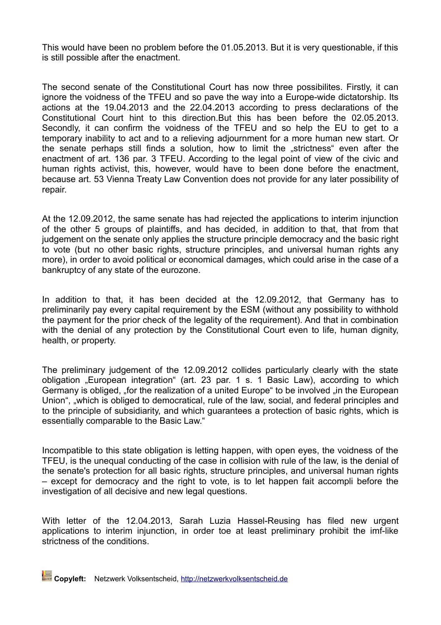This would have been no problem before the 01.05.2013. But it is very questionable, if this is still possible after the enactment.

The second senate of the Constitutional Court has now three possibilites. Firstly, it can ignore the voidness of the TFEU and so pave the way into a Europe-wide dictatorship. Its actions at the 19.04.2013 and the 22.04.2013 according to press declarations of the Constitutional Court hint to this direction.But this has been before the 02.05.2013. Secondly, it can confirm the voidness of the TFEU and so help the EU to get to a temporary inability to act and to a relieving adjournment for a more human new start. Or the senate perhaps still finds a solution, how to limit the "strictness" even after the enactment of art. 136 par. 3 TFEU. According to the legal point of view of the civic and human rights activist, this, however, would have to been done before the enactment, because art. 53 Vienna Treaty Law Convention does not provide for any later possibility of repair.

At the 12.09.2012, the same senate has had rejected the applications to interim injunction of the other 5 groups of plaintiffs, and has decided, in addition to that, that from that judgement on the senate only applies the structure principle democracy and the basic right to vote (but no other basic rights, structure principles, and universal human rights any more), in order to avoid political or economical damages, which could arise in the case of a bankruptcy of any state of the eurozone.

In addition to that, it has been decided at the 12.09.2012, that Germany has to preliminarily pay every capital requirement by the ESM (without any possibility to withhold the payment for the prior check of the legality of the requirement). And that in combination with the denial of any protection by the Constitutional Court even to life, human dignity, health, or property.

The preliminary judgement of the 12.09.2012 collides particularly clearly with the state obligation "European integration" (art. 23 par. 1 s. 1 Basic Law), according to which Germany is obliged, "for the realization of a united Europe" to be involved "in the European Union", "which is obliged to democratical, rule of the law, social, and federal principles and to the principle of subsidiarity, and which guarantees a protection of basic rights, which is essentially comparable to the Basic Law."

Incompatible to this state obligation is letting happen, with open eyes, the voidness of the TFEU, is the unequal conducting of the case in collision with rule of the law, is the denial of the senate's protection for all basic rights, structure principles, and universal human rights – except for democracy and the right to vote, is to let happen fait accompli before the investigation of all decisive and new legal questions.

With letter of the 12.04.2013, Sarah Luzia Hassel-Reusing has filed new urgent applications to interim injunction, in order toe at least preliminary prohibit the imf-like strictness of the conditions.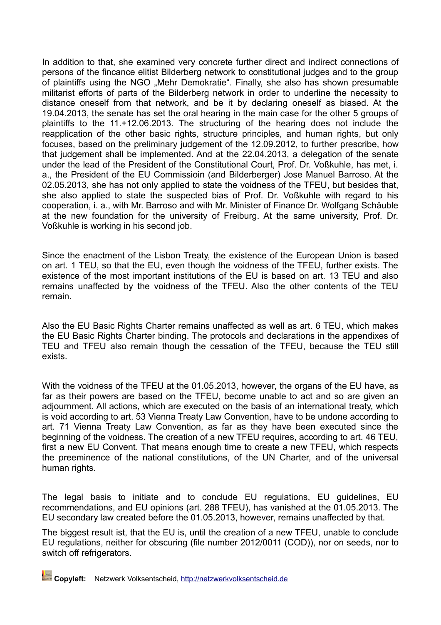In addition to that, she examined very concrete further direct and indirect connections of persons of the fincance elitist Bilderberg network to constitutional judges and to the group of plaintiffs using the NGO "Mehr Demokratie". Finally, she also has shown presumable militarist efforts of parts of the Bilderberg network in order to underline the necessity to distance oneself from that network, and be it by declaring oneself as biased. At the 19.04.2013, the senate has set the oral hearing in the main case for the other 5 groups of plaintiffs to the 11.+12.06.2013. The structuring of the hearing does not include the reapplication of the other basic rights, structure principles, and human rights, but only focuses, based on the preliminary judgement of the 12.09.2012, to further prescribe, how that judgement shall be implemented. And at the 22.04.2013, a delegation of the senate under the lead of the President of the Constitutional Court, Prof. Dr. Voßkuhle, has met, i. a., the President of the EU Commissioin (and Bilderberger) Jose Manuel Barroso. At the 02.05.2013, she has not only applied to state the voidness of the TFEU, but besides that, she also applied to state the suspected bias of Prof. Dr. Voßkuhle with regard to his cooperation, i. a., with Mr. Barroso and with Mr. Minister of Finance Dr. Wolfgang Schäuble at the new foundation for the university of Freiburg. At the same university, Prof. Dr. Voßkuhle is working in his second job.

Since the enactment of the Lisbon Treaty, the existence of the European Union is based on art. 1 TEU, so that the EU, even though the voidness of the TFEU, further exists. The existence of the most important institutions of the EU is based on art. 13 TEU and also remains unaffected by the voidness of the TFEU. Also the other contents of the TEU remain.

Also the EU Basic Rights Charter remains unaffected as well as art. 6 TEU, which makes the EU Basic Rights Charter binding. The protocols and declarations in the appendixes of TEU and TFEU also remain though the cessation of the TFEU, because the TEU still exists.

With the voidness of the TFEU at the 01.05.2013, however, the organs of the EU have, as far as their powers are based on the TFEU, become unable to act and so are given an adjournment. All actions, which are executed on the basis of an international treaty, which is void according to art. 53 Vienna Treaty Law Convention, have to be undone according to art. 71 Vienna Treaty Law Convention, as far as they have been executed since the beginning of the voidness. The creation of a new TFEU requires, according to art. 46 TEU. first a new EU Convent. That means enough time to create a new TFEU, which respects the preeminence of the national constitutions, of the UN Charter, and of the universal human rights.

The legal basis to initiate and to conclude EU regulations, EU guidelines, EU recommendations, and EU opinions (art. 288 TFEU), has vanished at the 01.05.2013. The EU secondary law created before the 01.05.2013, however, remains unaffected by that.

The biggest result ist, that the EU is, until the creation of a new TFEU, unable to conclude EU regulations, neither for obscuring (file number 2012/0011 (COD)), nor on seeds, nor to switch off refrigerators.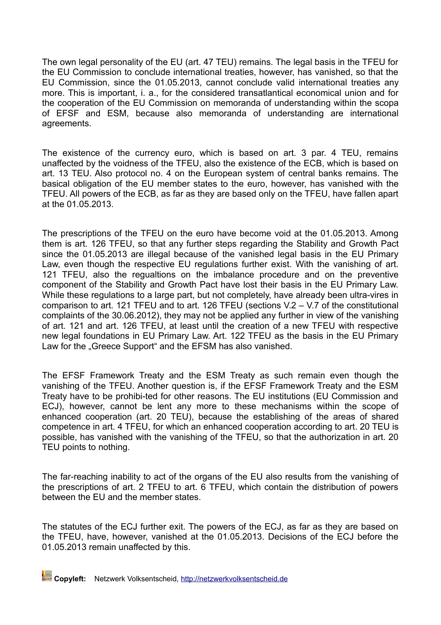The own legal personality of the EU (art. 47 TEU) remains. The legal basis in the TFEU for the EU Commission to conclude international treaties, however, has vanished, so that the EU Commission, since the 01.05.2013, cannot conclude valid international treaties any more. This is important, i. a., for the considered transatlantical economical union and for the cooperation of the EU Commission on memoranda of understanding within the scopa of EFSF and ESM, because also memoranda of understanding are international agreements.

The existence of the currency euro, which is based on art. 3 par. 4 TEU, remains unaffected by the voidness of the TFEU, also the existence of the ECB, which is based on art. 13 TEU. Also protocol no. 4 on the European system of central banks remains. The basical obligation of the EU member states to the euro, however, has vanished with the TFEU. All powers of the ECB, as far as they are based only on the TFEU, have fallen apart at the 01.05.2013.

The prescriptions of the TFEU on the euro have become void at the 01.05.2013. Among them is art. 126 TFEU, so that any further steps regarding the Stability and Growth Pact since the 01.05.2013 are illegal because of the vanished legal basis in the EU Primary Law, even though the respective EU regulations further exist. With the vanishing of art. 121 TFEU, also the regualtions on the imbalance procedure and on the preventive component of the Stability and Growth Pact have lost their basis in the EU Primary Law. While these regulations to a large part, but not completely, have already been ultra-vires in comparison to art. 121 TFEU and to art. 126 TFEU (sections V.2 – V.7 of the constitutional complaints of the 30.06.2012), they may not be applied any further in view of the vanishing of art. 121 and art. 126 TFEU, at least until the creation of a new TFEU with respective new legal foundations in EU Primary Law. Art. 122 TFEU as the basis in the EU Primary Law for the "Greece Support" and the EFSM has also vanished.

The EFSF Framework Treaty and the ESM Treaty as such remain even though the vanishing of the TFEU. Another question is, if the EFSF Framework Treaty and the ESM Treaty have to be prohibi-ted for other reasons. The EU institutions (EU Commission and ECJ), however, cannot be lent any more to these mechanisms within the scope of enhanced cooperation (art. 20 TEU), because the establishing of the areas of shared competence in art. 4 TFEU, for which an enhanced cooperation according to art. 20 TEU is possible, has vanished with the vanishing of the TFEU, so that the authorization in art. 20 TEU points to nothing.

The far-reaching inability to act of the organs of the EU also results from the vanishing of the prescriptions of art. 2 TFEU to art. 6 TFEU, which contain the distribution of powers between the EU and the member states.

The statutes of the ECJ further exit. The powers of the ECJ, as far as they are based on the TFEU, have, however, vanished at the 01.05.2013. Decisions of the ECJ before the 01.05.2013 remain unaffected by this.